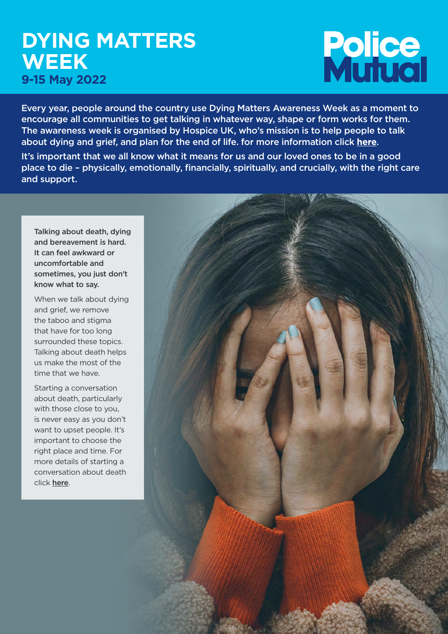# **DYING MATTERS WEEK 9-15 May 2022**

# **Police**<br>Munual

Every year, people around the country use Dying Matters Awareness Week as a moment to encourage all communities to get talking in whatever way, shape or form works for them. The awareness week is organised by Hospice UK, who's mission is to help people to talk about dying and grief, and plan for the end of life. for more information click **[here](https://www.hospiceuk.org/our-campaigns/dying-matters/dying-matters-awareness-week)**.

It's important that we all know what it means for us and our loved ones to be in a good place to die – physically, emotionally, financially, spiritually, and crucially, with the right care and support.

Talking about death, dying and bereavement is hard. It can feel awkward or uncomfortable and sometimes, you just don't know what to say.

When we talk about dying and grief, we remove the taboo and stigma that have for too long surrounded these topics. Talking about death helps us make the most of the time that we have.

Starting a conversation about death, particularly with those close to you, is never easy as you don't want to upset people. It's important to choose the right place and time. For more details of starting a conversation about death click [here](https://hukstage-bucket.s3.eu-west-2.amazonaws.com/s3fs-public/2021-08/No_3%20-%20Let%27s%20talk%20about%20dying_single%20pages.pdf).

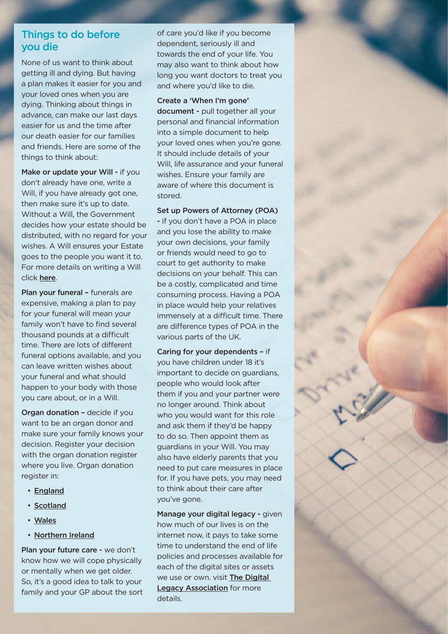# Things to do before you die

None of us want to think about getting ill and dying. But having a plan makes it easier for you and your loved ones when you are dying. Thinking about things in advance, can make our last days easier for us and the time after our death easier for our families and friends. Here are some of the things to think about:

Make or update your Will - if you don't already have one, write a Will, if you have already got one, then make sure it's up to date. Without a Will, the Government decides how your estate should be distributed, with no regard for your wishes. A Will ensures your Estate goes to the people you want it to. For more details on writing a Will click [here](http://www.moneyhelper.org.uk/en/family-and-care/death-and-bereavement).

Plan your funeral - funerals are expensive, making a plan to pay for your funeral will mean your family won't have to find several thousand pounds at a difficult time. There are lots of different funeral options available, and you can leave written wishes about your funeral and what should happen to your body with those you care about, or in a Will.

Organ donation – decide if you want to be an organ donor and make sure your family knows your decision. Register your decision with the organ donation register where you live. Organ donation register in:

- [England](https://www.organdonation.nhs.uk/)
- [Scotland](https://www.organdonation.scot/)
- [Wales](https://gov.wales/organ-donation-guide)
- [Northern Ireland](https://www.organdonationni.info/)

Plan your future care - we don't know how we will cope physically or mentally when we get older. So, it's a good idea to talk to your family and your GP about the sort of care you'd like if you become dependent, seriously ill and towards the end of your life. You may also want to think about how long you want doctors to treat you and where you'd like to die.

Create a 'When I'm gone' document - pull together all your personal and financial information into a simple document to help your loved ones when you're gone. It should include details of your Will, life assurance and your funeral wishes. Ensure your family are aware of where this document is stored.

Set up Powers of Attorney (POA) - if you don't have a POA in place and you lose the ability to make your own decisions, your family or friends would need to go to court to get authority to make decisions on your behalf. This can be a costly, complicated and time consuming process. Having a POA in place would help your relatives immensely at a difficult time. There are difference types of POA in the various parts of the UK.

Caring for your dependents – if you have children under 18 it's important to decide on guardians, people who would look after them if you and your partner were no longer around. Think about who you would want for this role and ask them if they'd be happy to do so. Then appoint them as guardians in your Will. You may also have elderly parents that you need to put care measures in place for. If you have pets, you may need to think about their care after you've gone.

Manage your digital legacy - given how much of our lives is on the internet now, it pays to take some time to understand the end of life policies and processes available for each of the digital sites or assets we use or own. visit [The Digital](https://digitallegacyassociation.org/)  **[Legacy Association](https://digitallegacyassociation.org/)** for more details.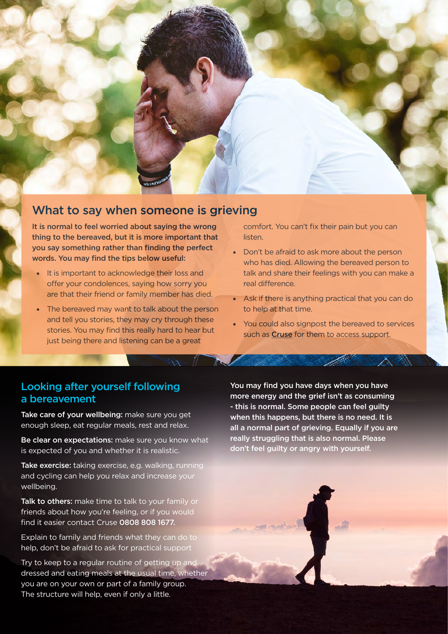

# What to say when someone is grieving

It is normal to feel worried about saying the wrong thing to the bereaved, but it is more important that you say something rather than finding the perfect words. You may find the tips below useful:

- It is important to acknowledge their loss and offer your condolences, saying how sorry you are that their friend or family member has died.
- The bereaved may want to talk about the person and tell you stories, they may cry through these stories. You may find this really hard to hear but just being there and listening can be a great

comfort. You can't fix their pain but you can listen.

- Don't be afraid to ask more about the person who has died. Allowing the bereaved person to talk and share their feelings with you can make a real difference.
- Ask if there is anything practical that you can do to help at that time.
- You could also signpost the bereaved to services such as **[Cruse](https://www.cruse.org.uk/?gclid=EAIaIQobChMIua3rzIiO9wIVjLHtCh1RkgZ_EAAYASAAEgLzZfD_BwE)** for them to access support.

# Looking after yourself following a bereavement

Take care of your wellbeing: make sure you get enough sleep, eat regular meals, rest and relax.

Be clear on expectations: make sure you know what is expected of you and whether it is realistic.

Take exercise: taking exercise, e.g. walking, running and cycling can help you relax and increase your wellbeing.

Talk to others: make time to talk to your family or friends about how you're feeling, or if you would find it easier contact Cruse 0808 808 1677.

Explain to family and friends what they can do to help, don't be afraid to ask for practical support

Try to keep to a regular routine of getting up and dressed and eating meals at the usual time, whether you are on your own or part of a family group. The structure will help, even if only a little.

You may find you have days when you have more energy and the grief isn't as consuming - this is normal. Some people can feel guilty when this happens, but there is no need. It is all a normal part of grieving. Equally if you are really struggling that is also normal. Please don't feel guilty or angry with yourself.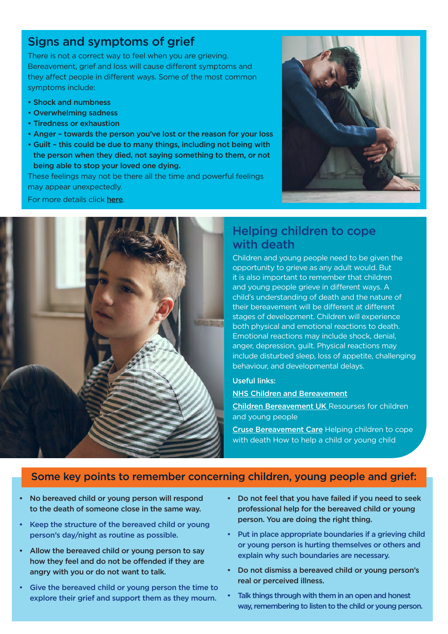# Signs and symptoms of grief

There is not a correct way to feel when you are grieving. Bereavement, grief and loss will cause different symptoms and they affect people in different ways. Some of the most common symptoms include:

- Shock and numbness
- Overwhelming sadness
- Tiredness or exhaustion
- Anger towards the person you've lost or the reason for your loss
- Guilt this could be due to many things, including not being with the person when they died, not saying something to them, or not being able to stop your loved one dying.

These feelings may not be there all the time and powerful feelings may appear unexpectedly.

For more details click [here](https://www.nhs.uk/mental-health/feelings-symptoms-behaviours/feelings-and-symptoms/grief-bereavement-loss/).



# Helping children to cope with death

Children and young people need to be given the opportunity to grieve as any adult would. But it is also important to remember that children and young people grieve in different ways. A child's understanding of death and the nature of their bereavement will be different at different stages of development. Children will experience both physical and emotional reactions to death. Emotional reactions may include shock, denial, anger, depression, guilt. Physical reactions may include disturbed sleep, loss of appetite, challenging behaviour, and developmental delays.

### Useful links:

### [NHS Children and Bereavement](https://www.nhs.uk/mental-health/children-and-young-adults/advice-for-parents/children-and-bereavement/)

[Children Bereavement UK](https://www.childbereavementuk.org) Resourses for children and young people

[Cruse Bereavement Care](https://www.cruse.org.uk/?gclid=EAIaIQobChMIzdC_mIiO9wIVkIBQBh0ilQm9EAAYASAAEgLfK_D_BwE) Helping children to cope with death How to help a child or young child

### Some key points to remember concerning children, young people and grief:

- No bereaved child or young person will respond to the death of someone close in the same way.
- Keep the structure of the bereaved child or young person's day/night as routine as possible.
- Allow the bereaved child or young person to say how they feel and do not be offended if they are angry with you or do not want to talk.
- Give the bereaved child or young person the time to explore their grief and support them as they mourn.
- Do not feel that you have failed if you need to seek professional help for the bereaved child or young person. You are doing the right thing.
- Put in place appropriate boundaries if a grieving child or young person is hurting themselves or others and explain why such boundaries are necessary.
- Do not dismiss a bereaved child or young person's real or perceived illness.
- Talk things through with them in an open and honest way, remembering to listen to the child or young person.